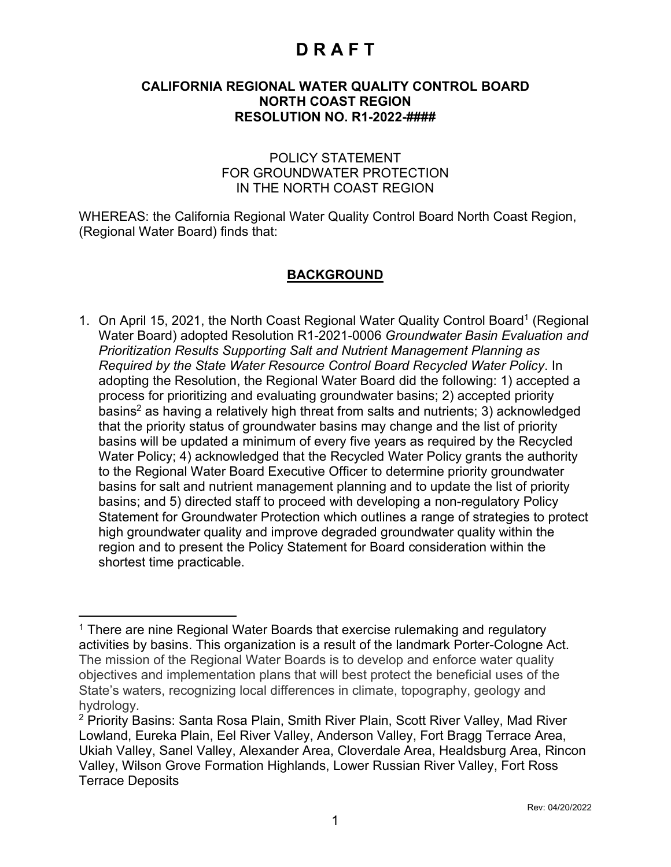#### **CALIFORNIA REGIONAL WATER QUALITY CONTROL BOARD NORTH COAST REGION RESOLUTION NO. R1-2022-####**

#### POLICY STATEMENT FOR GROUNDWATER PROTECTION IN THE NORTH COAST REGION

WHEREAS: the California Regional Water Quality Control Board North Coast Region, (Regional Water Board) finds that:

#### **BACKGROUND**

[1](#page-0-0). On April 15, 2021, the North Coast Regional Water Quality Control Board<sup>1</sup> (Regional Water Board) adopted Resolution R1-2021-0006 *Groundwater Basin Evaluation and Prioritization Results Supporting Salt and Nutrient Management Planning as Required by the State Water Resource Control Board Recycled Water Policy*. In adopting the Resolution, the Regional Water Board did the following: 1) accepted a process for prioritizing and evaluating groundwater basins; 2) accepted priority basins [2](#page-0-1) as having a relatively high threat from salts and nutrients; 3) acknowledged that the priority status of groundwater basins may change and the list of priority basins will be updated a minimum of every five years as required by the Recycled Water Policy; 4) acknowledged that the Recycled Water Policy grants the authority to the Regional Water Board Executive Officer to determine priority groundwater basins for salt and nutrient management planning and to update the list of priority basins; and 5) directed staff to proceed with developing a non-regulatory Policy Statement for Groundwater Protection which outlines a range of strategies to protect high groundwater quality and improve degraded groundwater quality within the region and to present the Policy Statement for Board consideration within the shortest time practicable.

<span id="page-0-0"></span><sup>&</sup>lt;sup>1</sup> There are nine Regional Water Boards that exercise rulemaking and regulatory activities by basins. This organization is a result of the landmark Porter-Cologne Act. The mission of the Regional Water Boards is to develop and enforce water quality objectives and implementation plans that will best protect the beneficial uses of the State's waters, recognizing local differences in climate, topography, geology and hydrology.

<span id="page-0-1"></span><sup>2</sup> Priority Basins: Santa Rosa Plain, Smith River Plain, Scott River Valley, Mad River Lowland, Eureka Plain, Eel River Valley, Anderson Valley, Fort Bragg Terrace Area, Ukiah Valley, Sanel Valley, Alexander Area, Cloverdale Area, Healdsburg Area, Rincon Valley, Wilson Grove Formation Highlands, Lower Russian River Valley, Fort Ross Terrace Deposits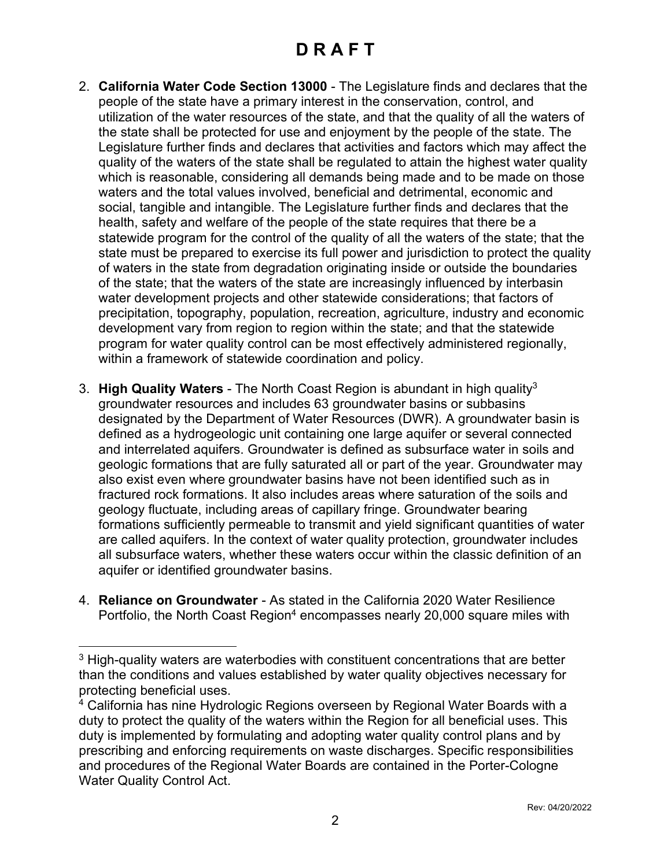- 2. **California Water Code Section 13000** The Legislature finds and declares that the people of the state have a primary interest in the conservation, control, and utilization of the water resources of the state, and that the quality of all the waters of the state shall be protected for use and enjoyment by the people of the state. The Legislature further finds and declares that activities and factors which may affect the quality of the waters of the state shall be regulated to attain the highest water quality which is reasonable, considering all demands being made and to be made on those waters and the total values involved, beneficial and detrimental, economic and social, tangible and intangible. The Legislature further finds and declares that the health, safety and welfare of the people of the state requires that there be a statewide program for the control of the quality of all the waters of the state; that the state must be prepared to exercise its full power and jurisdiction to protect the quality of waters in the state from degradation originating inside or outside the boundaries of the state; that the waters of the state are increasingly influenced by interbasin water development projects and other statewide considerations; that factors of precipitation, topography, population, recreation, agriculture, industry and economic development vary from region to region within the state; and that the statewide program for water quality control can be most effectively administered regionally, within a framework of statewide coordination and policy.
- 3. **High Quality Waters** The North Coast Region is abundant in high quality[3](#page-1-0) groundwater resources and includes 63 groundwater basins or subbasins designated by the Department of Water Resources (DWR). A groundwater basin is defined as a hydrogeologic unit containing one large aquifer or several connected and interrelated aquifers. Groundwater is defined as subsurface water in soils and geologic formations that are fully saturated all or part of the year. Groundwater may also exist even where groundwater basins have not been identified such as in fractured rock formations. It also includes areas where saturation of the soils and geology fluctuate, including areas of capillary fringe. Groundwater bearing formations sufficiently permeable to transmit and yield significant quantities of water are called aquifers. In the context of water quality protection, groundwater includes all subsurface waters, whether these waters occur within the classic definition of an aquifer or identified groundwater basins.
- 4. **Reliance on Groundwater** As stated in the California 2020 Water Resilience Portfolio, the North Coast Region<sup>[4](#page-1-1)</sup> encompasses nearly 20,000 square miles with

<span id="page-1-0"></span> $3$  High-quality waters are waterbodies with constituent concentrations that are better than the conditions and values established by water quality objectives necessary for protecting beneficial uses.

<span id="page-1-1"></span><sup>&</sup>lt;sup>4</sup> California has nine Hydrologic Regions overseen by Regional Water Boards with a duty to protect the quality of the waters within the Region for all beneficial uses. This duty is implemented by formulating and adopting water quality control plans and by prescribing and enforcing requirements on waste discharges. Specific responsibilities and procedures of the Regional Water Boards are contained in the Porter-Cologne Water Quality Control Act.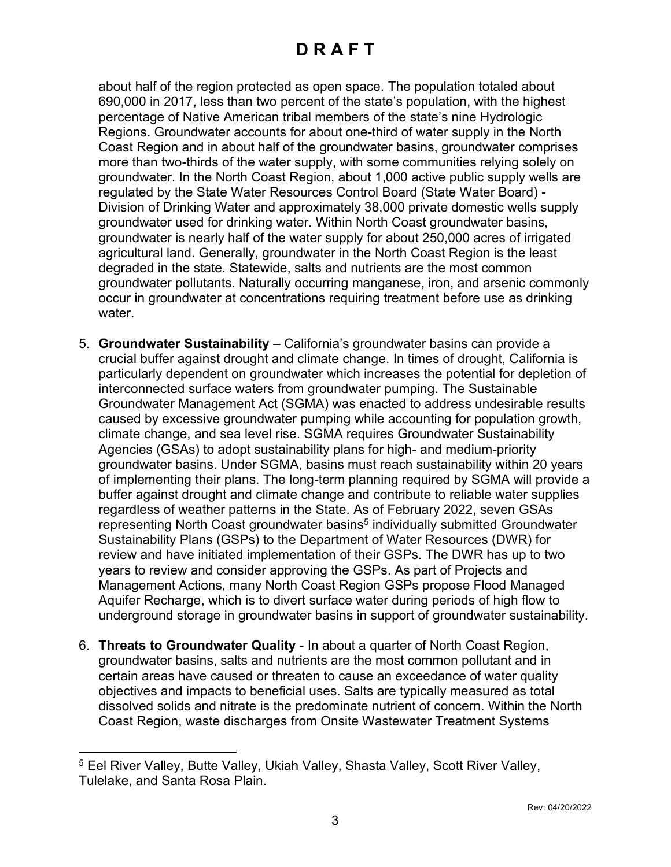about half of the region protected as open space. The population totaled about 690,000 in 2017, less than two percent of the state's population, with the highest percentage of Native American tribal members of the state's nine Hydrologic Regions. Groundwater accounts for about one-third of water supply in the North Coast Region and in about half of the groundwater basins, groundwater comprises more than two-thirds of the water supply, with some communities relying solely on groundwater. In the North Coast Region, about 1,000 active public supply wells are regulated by the State Water Resources Control Board (State Water Board) - Division of Drinking Water and approximately 38,000 private domestic wells supply groundwater used for drinking water. Within North Coast groundwater basins, groundwater is nearly half of the water supply for about 250,000 acres of irrigated agricultural land. Generally, groundwater in the North Coast Region is the least degraded in the state. Statewide, salts and nutrients are the most common groundwater pollutants. Naturally occurring manganese, iron, and arsenic commonly occur in groundwater at concentrations requiring treatment before use as drinking water.

- 5. **Groundwater Sustainability** California's groundwater basins can provide a crucial buffer against drought and climate change. In times of drought, California is particularly dependent on groundwater which increases the potential for depletion of interconnected surface waters from groundwater pumping. The Sustainable Groundwater Management Act (SGMA) was enacted to address undesirable results caused by excessive groundwater pumping while accounting for population growth, climate change, and sea level rise. SGMA requires Groundwater Sustainability Agencies (GSAs) to adopt sustainability plans for high- and medium-priority groundwater basins. Under SGMA, basins must reach sustainability within 20 years of implementing their plans. The long-term planning required by SGMA will provide a buffer against drought and climate change and contribute to reliable water supplies regardless of weather patterns in the State. As of February 2022, seven GSAs representing North Coast groundwater basins<sup>[5](#page-2-0)</sup> individually submitted Groundwater Sustainability Plans (GSPs) to the Department of Water Resources (DWR) for review and have initiated implementation of their GSPs. The DWR has up to two years to review and consider approving the GSPs. As part of Projects and Management Actions, many North Coast Region GSPs propose Flood Managed Aquifer Recharge, which is to divert surface water during periods of high flow to underground storage in groundwater basins in support of groundwater sustainability.
- 6. **Threats to Groundwater Quality** In about a quarter of North Coast Region, groundwater basins, salts and nutrients are the most common pollutant and in certain areas have caused or threaten to cause an exceedance of water quality objectives and impacts to beneficial uses. Salts are typically measured as total dissolved solids and nitrate is the predominate nutrient of concern. Within the North Coast Region, waste discharges from Onsite Wastewater Treatment Systems

<span id="page-2-0"></span><sup>5</sup> Eel River Valley, Butte Valley, Ukiah Valley, Shasta Valley, Scott River Valley, Tulelake, and Santa Rosa Plain.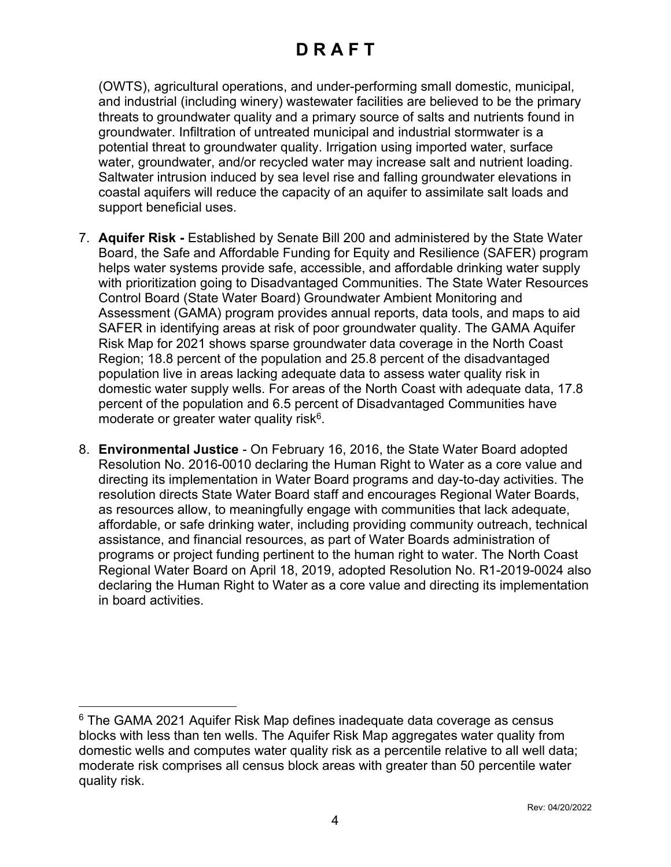(OWTS), agricultural operations, and under-performing small domestic, municipal, and industrial (including winery) wastewater facilities are believed to be the primary threats to groundwater quality and a primary source of salts and nutrients found in groundwater. Infiltration of untreated municipal and industrial stormwater is a potential threat to groundwater quality. Irrigation using imported water, surface water, groundwater, and/or recycled water may increase salt and nutrient loading. Saltwater intrusion induced by sea level rise and falling groundwater elevations in coastal aquifers will reduce the capacity of an aquifer to assimilate salt loads and support beneficial uses.

- 7. **Aquifer Risk -** Established by Senate Bill 200 and administered by the State Water Board, the Safe and Affordable Funding for Equity and Resilience (SAFER) program helps water systems provide safe, accessible, and affordable drinking water supply with prioritization going to Disadvantaged Communities. The State Water Resources Control Board (State Water Board) Groundwater Ambient Monitoring and Assessment (GAMA) program provides annual reports, data tools, and maps to aid SAFER in identifying areas at risk of poor groundwater quality. The GAMA Aquifer Risk Map for 2021 shows sparse groundwater data coverage in the North Coast Region; 18.8 percent of the population and 25.8 percent of the disadvantaged population live in areas lacking adequate data to assess water quality risk in domestic water supply wells. For areas of the North Coast with adequate data, 17.8 percent of the population and 6.5 percent of Disadvantaged Communities have moderate or greater water quality risk<sup>[6](#page-3-0)</sup>.
- 8. **Environmental Justice** On February 16, 2016, the State Water Board adopted Resolution No. 2016-0010 declaring the Human Right to Water as a core value and directing its implementation in Water Board programs and day-to-day activities. The resolution directs State Water Board staff and encourages Regional Water Boards, as resources allow, to meaningfully engage with communities that lack adequate, affordable, or safe drinking water, including providing community outreach, technical assistance, and financial resources, as part of Water Boards administration of programs or project funding pertinent to the human right to water. The North Coast Regional Water Board on April 18, 2019, adopted Resolution No. R1-2019-0024 also declaring the Human Right to Water as a core value and directing its implementation in board activities.

<span id="page-3-0"></span><sup>6</sup> The GAMA 2021 Aquifer Risk Map defines inadequate data coverage as census blocks with less than ten wells. The Aquifer Risk Map aggregates water quality from domestic wells and computes water quality risk as a percentile relative to all well data; moderate risk comprises all census block areas with greater than 50 percentile water quality risk.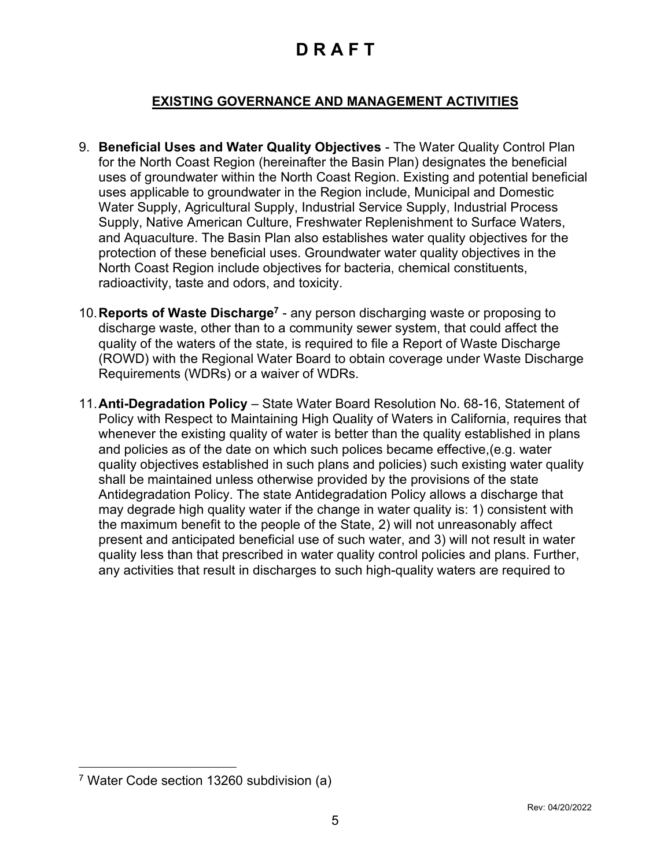#### **EXISTING GOVERNANCE AND MANAGEMENT ACTIVITIES**

- 9. **Beneficial Uses and Water Quality Objectives** The Water Quality Control Plan for the North Coast Region (hereinafter the Basin Plan) designates the beneficial uses of groundwater within the North Coast Region. Existing and potential beneficial uses applicable to groundwater in the Region include, Municipal and Domestic Water Supply, Agricultural Supply, Industrial Service Supply, Industrial Process Supply, Native American Culture, Freshwater Replenishment to Surface Waters, and Aquaculture. The Basin Plan also establishes water quality objectives for the protection of these beneficial uses. Groundwater water quality objectives in the North Coast Region include objectives for bacteria, chemical constituents, radioactivity, taste and odors, and toxicity.
- 10.**Reports of Waste Discharge[7](#page-4-0)** any person discharging waste or proposing to discharge waste, other than to a community sewer system, that could affect the quality of the waters of the state, is required to file a Report of Waste Discharge (ROWD) with the Regional Water Board to obtain coverage under Waste Discharge Requirements (WDRs) or a waiver of WDRs.
- 11.**Anti-Degradation Policy** State Water Board Resolution No. 68-16, Statement of Policy with Respect to Maintaining High Quality of Waters in California, requires that whenever the existing quality of water is better than the quality established in plans and policies as of the date on which such polices became effective,(e.g. water quality objectives established in such plans and policies) such existing water quality shall be maintained unless otherwise provided by the provisions of the state Antidegradation Policy. The state Antidegradation Policy allows a discharge that may degrade high quality water if the change in water quality is: 1) consistent with the maximum benefit to the people of the State, 2) will not unreasonably affect present and anticipated beneficial use of such water, and 3) will not result in water quality less than that prescribed in water quality control policies and plans. Further, any activities that result in discharges to such high-quality waters are required to

<span id="page-4-0"></span><sup>7</sup> Water Code section 13260 subdivision (a)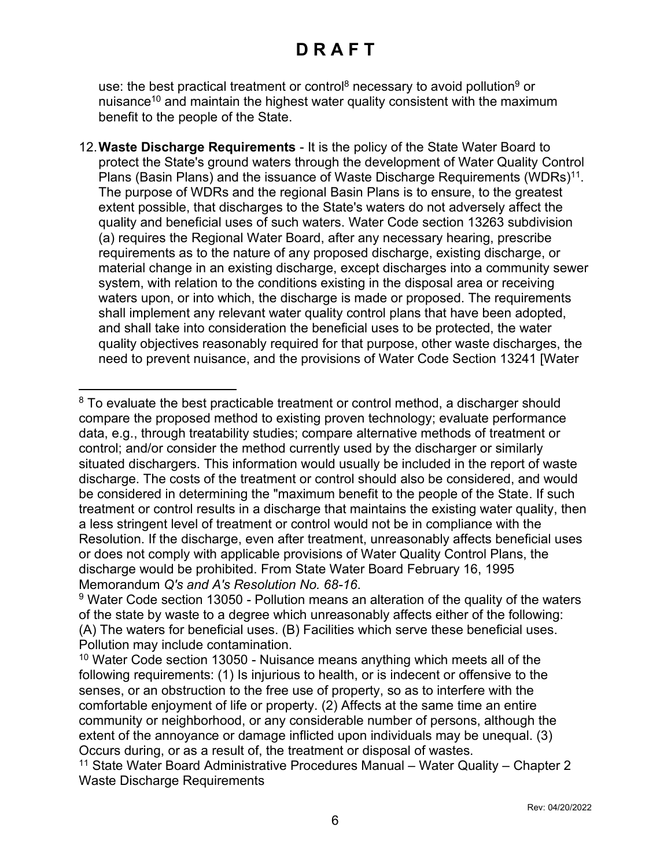use: the best practical treatment or control<sup>[8](#page-5-0)</sup> necessary to avoid pollution<sup>[9](#page-5-1)</sup> or nuisance<sup>[10](#page-5-2)</sup> and maintain the highest water quality consistent with the maximum benefit to the people of the State.

12.**Waste Discharge Requirements** - It is the policy of the State Water Board to protect the State's ground waters through the development of Water Quality Control Plans (Basin Plans) and the issuance of Waste Discharge Requirements (WDRs) $^{11}$  $^{11}$  $^{11}$ . The purpose of WDRs and the regional Basin Plans is to ensure, to the greatest extent possible, that discharges to the State's waters do not adversely affect the quality and beneficial uses of such waters. Water Code section 13263 subdivision (a) requires the Regional Water Board, after any necessary hearing, prescribe requirements as to the nature of any proposed discharge, existing discharge, or material change in an existing discharge, except discharges into a community sewer system, with relation to the conditions existing in the disposal area or receiving waters upon, or into which, the discharge is made or proposed. The requirements shall implement any relevant water quality control plans that have been adopted, and shall take into consideration the beneficial uses to be protected, the water quality objectives reasonably required for that purpose, other waste discharges, the need to prevent nuisance, and the provisions of Water Code Section 13241 [Water

<span id="page-5-0"></span><sup>&</sup>lt;sup>8</sup> To evaluate the best practicable treatment or control method, a discharger should compare the proposed method to existing proven technology; evaluate performance data, e.g., through treatability studies; compare alternative methods of treatment or control; and/or consider the method currently used by the discharger or similarly situated dischargers. This information would usually be included in the report of waste discharge. The costs of the treatment or control should also be considered, and would be considered in determining the "maximum benefit to the people of the State. If such treatment or control results in a discharge that maintains the existing water quality, then a less stringent level of treatment or control would not be in compliance with the Resolution. If the discharge, even after treatment, unreasonably affects beneficial uses or does not comply with applicable provisions of Water Quality Control Plans, the discharge would be prohibited. From State Water Board February 16, 1995 Memorandum *Q's and A's Resolution No. 68-16*.

<span id="page-5-1"></span> $9$  Water Code section 13050 - Pollution means an alteration of the quality of the waters of the state by waste to a degree which unreasonably affects either of the following: (A) The waters for beneficial uses. (B) Facilities which serve these beneficial uses. Pollution may include contamination.

<span id="page-5-2"></span> $10$  Water Code section 13050 - Nuisance means anything which meets all of the following requirements: (1) Is injurious to health, or is indecent or offensive to the senses, or an obstruction to the free use of property, so as to interfere with the comfortable enjoyment of life or property. (2) Affects at the same time an entire community or neighborhood, or any considerable number of persons, although the extent of the annoyance or damage inflicted upon individuals may be unequal. (3) Occurs during, or as a result of, the treatment or disposal of wastes.

<span id="page-5-3"></span><sup>11</sup> State Water Board Administrative Procedures Manual – Water Quality – Chapter 2 Waste Discharge Requirements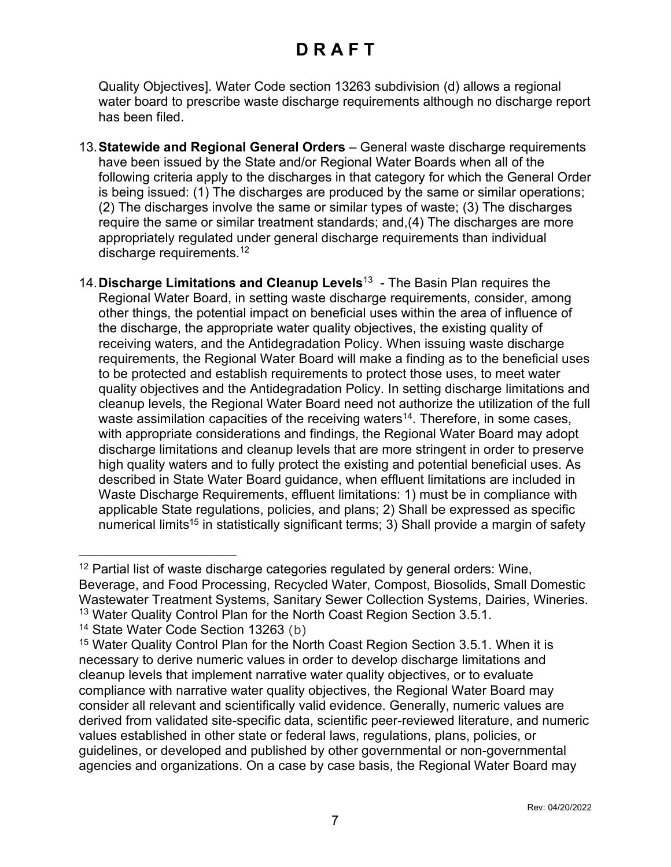Quality Objectives]. Water Code section 13263 subdivision (d) allows a regional water board to prescribe waste discharge requirements although no discharge report has been filed.

- 13.**Statewide and Regional General Orders** General waste discharge requirements have been issued by the State and/or Regional Water Boards when all of the following criteria apply to the discharges in that category for which the General Order is being issued: (1) The discharges are produced by the same or similar operations; (2) The discharges involve the same or similar types of waste; (3) The discharges require the same or similar treatment standards; and,(4) The discharges are more appropriately regulated under general discharge requirements than individual discharge requirements.<sup>[12](#page-6-0)</sup>
- 14.**Discharge Limitations and Cleanup Levels**[13](#page-6-1) The Basin Plan requires the Regional Water Board, in setting waste discharge requirements, consider, among other things, the potential impact on beneficial uses within the area of influence of the discharge, the appropriate water quality objectives, the existing quality of receiving waters, and the Antidegradation Policy. When issuing waste discharge requirements, the Regional Water Board will make a finding as to the beneficial uses to be protected and establish requirements to protect those uses, to meet water quality objectives and the Antidegradation Policy. In setting discharge limitations and cleanup levels, the Regional Water Board need not authorize the utilization of the full waste assimilation capacities of the receiving waters<sup>[14](#page-6-2)</sup>. Therefore, in some cases, with appropriate considerations and findings, the Regional Water Board may adopt discharge limitations and cleanup levels that are more stringent in order to preserve high quality waters and to fully protect the existing and potential beneficial uses. As described in State Water Board guidance, when effluent limitations are included in Waste Discharge Requirements, effluent limitations: 1) must be in compliance with applicable State regulations, policies, and plans; 2) Shall be expressed as specific numerical limits<sup>[15](#page-6-3)</sup> in statistically significant terms; 3) Shall provide a margin of safety

<span id="page-6-0"></span> $12$  Partial list of waste discharge categories regulated by general orders: Wine, Beverage, and Food Processing, Recycled Water, Compost, Biosolids, Small Domestic Wastewater Treatment Systems, Sanitary Sewer Collection Systems, Dairies, Wineries. <sup>13</sup> Water Quality Control Plan for the North Coast Region Section 3.5.1.

<span id="page-6-2"></span><span id="page-6-1"></span><sup>14</sup> State Water Code Section 13263 (b)

<span id="page-6-3"></span><sup>15</sup> Water Quality Control Plan for the North Coast Region Section 3.5.1. When it is necessary to derive numeric values in order to develop discharge limitations and cleanup levels that implement narrative water quality objectives, or to evaluate compliance with narrative water quality objectives, the Regional Water Board may consider all relevant and scientifically valid evidence. Generally, numeric values are derived from validated site-specific data, scientific peer-reviewed literature, and numeric values established in other state or federal laws, regulations, plans, policies, or guidelines, or developed and published by other governmental or non-governmental agencies and organizations. On a case by case basis, the Regional Water Board may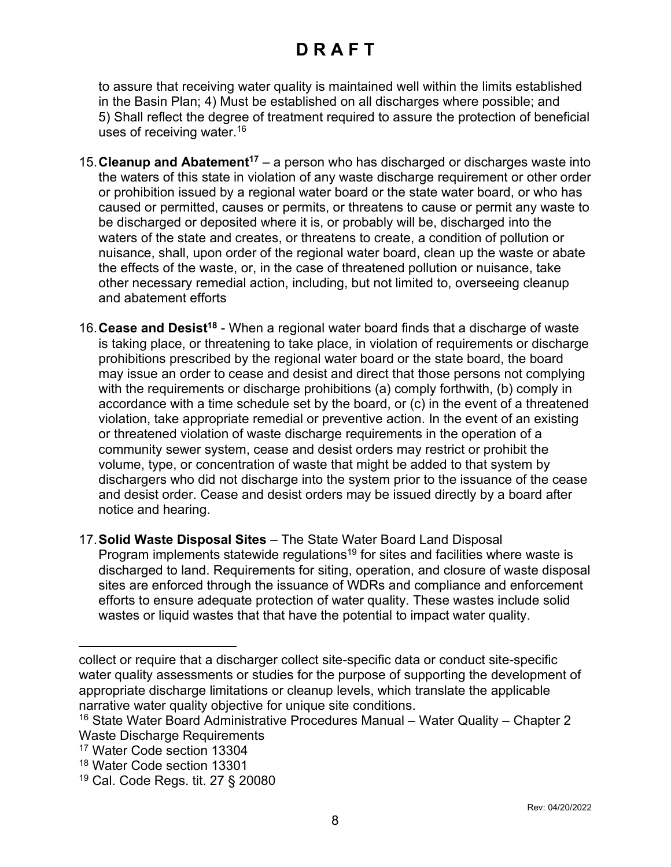to assure that receiving water quality is maintained well within the limits established in the Basin Plan; 4) Must be established on all discharges where possible; and 5) Shall reflect the degree of treatment required to assure the protection of beneficial uses of receiving water.[16](#page-7-0)

- 15.**Cleanup and Abatement[17](#page-7-1)** a person who has discharged or discharges waste into the waters of this state in violation of any waste discharge requirement or other order or prohibition issued by a regional water board or the state water board, or who has caused or permitted, causes or permits, or threatens to cause or permit any waste to be discharged or deposited where it is, or probably will be, discharged into the waters of the state and creates, or threatens to create, a condition of pollution or nuisance, shall, upon order of the regional water board, clean up the waste or abate the effects of the waste, or, in the case of threatened pollution or nuisance, take other necessary remedial action, including, but not limited to, overseeing cleanup and abatement efforts
- 16.**Cease and Desist[18](#page-7-2)** When a regional water board finds that a discharge of waste is taking place, or threatening to take place, in violation of requirements or discharge prohibitions prescribed by the regional water board or the state board, the board may issue an order to cease and desist and direct that those persons not complying with the requirements or discharge prohibitions (a) comply forthwith, (b) comply in accordance with a time schedule set by the board, or (c) in the event of a threatened violation, take appropriate remedial or preventive action. In the event of an existing or threatened violation of waste discharge requirements in the operation of a community sewer system, cease and desist orders may restrict or prohibit the volume, type, or concentration of waste that might be added to that system by dischargers who did not discharge into the system prior to the issuance of the cease and desist order. Cease and desist orders may be issued directly by a board after notice and hearing.
- 17.**Solid Waste Disposal Sites** The State Water Board Land Disposal Program implements statewide regulations<sup>[19](#page-7-3)</sup> for sites and facilities where waste is discharged to land. Requirements for siting, operation, and closure of waste disposal sites are enforced through the issuance of WDRs and compliance and enforcement efforts to ensure adequate protection of water quality. These wastes include solid wastes or liquid wastes that that have the potential to impact water quality.

collect or require that a discharger collect site-specific data or conduct site-specific water quality assessments or studies for the purpose of supporting the development of appropriate discharge limitations or cleanup levels, which translate the applicable narrative water quality objective for unique site conditions.

<span id="page-7-0"></span><sup>16</sup> State Water Board Administrative Procedures Manual – Water Quality – Chapter 2 Waste Discharge Requirements

<span id="page-7-1"></span><sup>17</sup> Water Code section 13304

<span id="page-7-2"></span><sup>18</sup> Water Code section 13301

<span id="page-7-3"></span><sup>19</sup> Cal. Code Regs. tit. 27 § 20080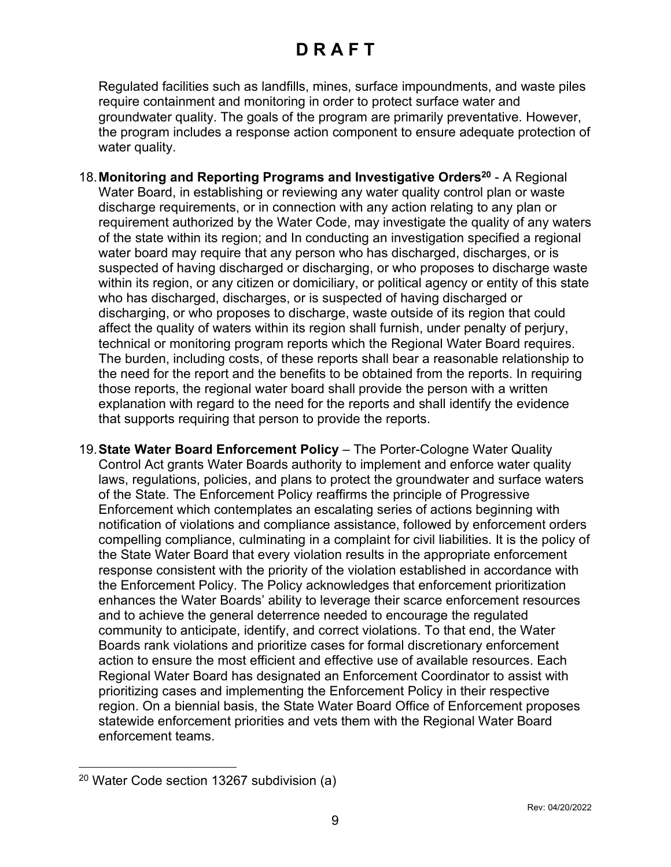Regulated facilities such as landfills, mines, surface impoundments, and waste piles require containment and monitoring in order to protect surface water and groundwater quality. The goals of the program are primarily preventative. However, the program includes a response action component to ensure adequate protection of water quality.

- 18.**Monitoring and Reporting Programs and Investigative Orders[20](#page-8-0)** A Regional Water Board, in establishing or reviewing any water quality control plan or waste discharge requirements, or in connection with any action relating to any plan or requirement authorized by the Water Code, may investigate the quality of any waters of the state within its region; and In conducting an investigation specified a regional water board may require that any person who has discharged, discharges, or is suspected of having discharged or discharging, or who proposes to discharge waste within its region, or any citizen or domiciliary, or political agency or entity of this state who has discharged, discharges, or is suspected of having discharged or discharging, or who proposes to discharge, waste outside of its region that could affect the quality of waters within its region shall furnish, under penalty of perjury, technical or monitoring program reports which the Regional Water Board requires. The burden, including costs, of these reports shall bear a reasonable relationship to the need for the report and the benefits to be obtained from the reports. In requiring those reports, the regional water board shall provide the person with a written explanation with regard to the need for the reports and shall identify the evidence that supports requiring that person to provide the reports.
- 19.**State Water Board Enforcement Policy** The Porter-Cologne Water Quality Control Act grants Water Boards authority to implement and enforce water quality laws, regulations, policies, and plans to protect the groundwater and surface waters of the State. The Enforcement Policy reaffirms the principle of Progressive Enforcement which contemplates an escalating series of actions beginning with notification of violations and compliance assistance, followed by enforcement orders compelling compliance, culminating in a complaint for civil liabilities. It is the policy of the State Water Board that every violation results in the appropriate enforcement response consistent with the priority of the violation established in accordance with the Enforcement Policy. The Policy acknowledges that enforcement prioritization enhances the Water Boards' ability to leverage their scarce enforcement resources and to achieve the general deterrence needed to encourage the regulated community to anticipate, identify, and correct violations. To that end, the Water Boards rank violations and prioritize cases for formal discretionary enforcement action to ensure the most efficient and effective use of available resources. Each Regional Water Board has designated an Enforcement Coordinator to assist with prioritizing cases and implementing the Enforcement Policy in their respective region. On a biennial basis, the State Water Board Office of Enforcement proposes statewide enforcement priorities and vets them with the Regional Water Board enforcement teams.

<span id="page-8-0"></span><sup>20</sup> Water Code section 13267 subdivision (a)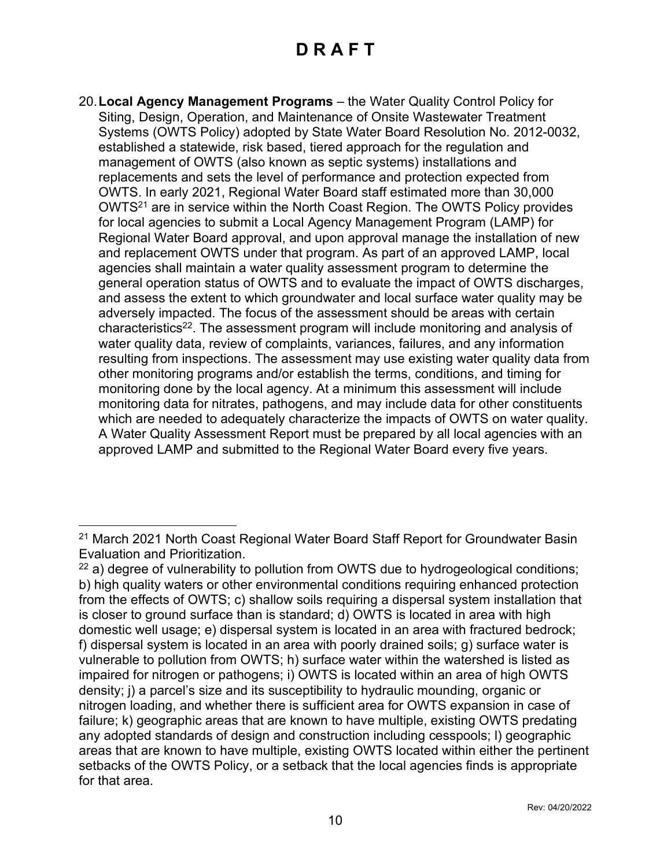20.**Local Agency Management Programs** – the Water Quality Control Policy for Siting, Design, Operation, and Maintenance of Onsite Wastewater Treatment Systems (OWTS Policy) adopted by State Water Board Resolution No. 2012-0032, established a statewide, risk based, tiered approach for the regulation and management of OWTS (also known as septic systems) installations and replacements and sets the level of performance and protection expected from OWTS. In early 2021, Regional Water Board staff estimated more than 30,000 OWTS[21](#page-9-0) are in service within the North Coast Region. The OWTS Policy provides for local agencies to submit a Local Agency Management Program (LAMP) for Regional Water Board approval, and upon approval manage the installation of new and replacement OWTS under that program. As part of an approved LAMP, local agencies shall maintain a water quality assessment program to determine the general operation status of OWTS and to evaluate the impact of OWTS discharges, and assess the extent to which groundwater and local surface water quality may be adversely impacted. The focus of the assessment should be areas with certain characteristics $^{22}$  $^{22}$  $^{22}$ . The assessment program will include monitoring and analysis of water quality data, review of complaints, variances, failures, and any information resulting from inspections. The assessment may use existing water quality data from other monitoring programs and/or establish the terms, conditions, and timing for monitoring done by the local agency. At a minimum this assessment will include monitoring data for nitrates, pathogens, and may include data for other constituents which are needed to adequately characterize the impacts of OWTS on water quality. A Water Quality Assessment Report must be prepared by all local agencies with an approved LAMP and submitted to the Regional Water Board every five years.

<span id="page-9-0"></span><sup>&</sup>lt;sup>21</sup> March 2021 North Coast Regional Water Board Staff Report for Groundwater Basin Evaluation and Prioritization.

<span id="page-9-1"></span> $22$  a) degree of vulnerability to pollution from OWTS due to hydrogeological conditions; b) high quality waters or other environmental conditions requiring enhanced protection from the effects of OWTS; c) shallow soils requiring a dispersal system installation that is closer to ground surface than is standard; d) OWTS is located in area with high domestic well usage; e) dispersal system is located in an area with fractured bedrock; f) dispersal system is located in an area with poorly drained soils; g) surface water is vulnerable to pollution from OWTS; h) surface water within the watershed is listed as impaired for nitrogen or pathogens; i) OWTS is located within an area of high OWTS density; j) a parcel's size and its susceptibility to hydraulic mounding, organic or nitrogen loading, and whether there is sufficient area for OWTS expansion in case of failure; k) geographic areas that are known to have multiple, existing OWTS predating any adopted standards of design and construction including cesspools; l) geographic areas that are known to have multiple, existing OWTS located within either the pertinent setbacks of the OWTS Policy, or a setback that the local agencies finds is appropriate for that area.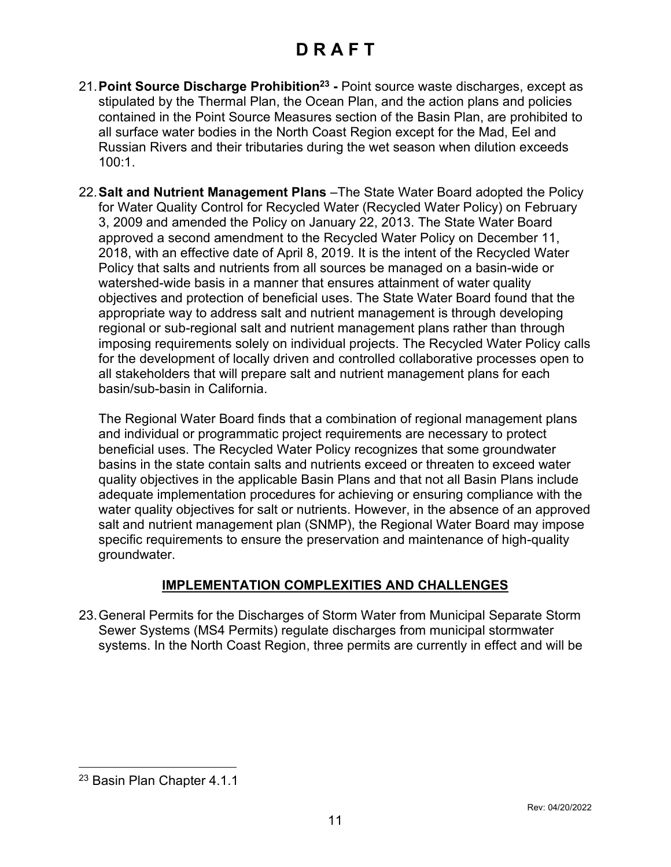- 21. Point Source Discharge Prohibition<sup>[23](#page-10-0)</sup> Point source waste discharges, except as stipulated by the Thermal Plan, the Ocean Plan, and the action plans and policies contained in the Point Source Measures section of the Basin Plan, are prohibited to all surface water bodies in the North Coast Region except for the Mad, Eel and Russian Rivers and their tributaries during the wet season when dilution exceeds 100:1.
- 22.**Salt and Nutrient Management Plans** –The State Water Board adopted the Policy for Water Quality Control for Recycled Water (Recycled Water Policy) on February 3, 2009 and amended the Policy on January 22, 2013. The State Water Board approved a second amendment to the Recycled Water Policy on December 11, 2018, with an effective date of April 8, 2019. It is the intent of the Recycled Water Policy that salts and nutrients from all sources be managed on a basin-wide or watershed-wide basis in a manner that ensures attainment of water quality objectives and protection of beneficial uses. The State Water Board found that the appropriate way to address salt and nutrient management is through developing regional or sub-regional salt and nutrient management plans rather than through imposing requirements solely on individual projects. The Recycled Water Policy calls for the development of locally driven and controlled collaborative processes open to all stakeholders that will prepare salt and nutrient management plans for each basin/sub-basin in California.

The Regional Water Board finds that a combination of regional management plans and individual or programmatic project requirements are necessary to protect beneficial uses. The Recycled Water Policy recognizes that some groundwater basins in the state contain salts and nutrients exceed or threaten to exceed water quality objectives in the applicable Basin Plans and that not all Basin Plans include adequate implementation procedures for achieving or ensuring compliance with the water quality objectives for salt or nutrients. However, in the absence of an approved salt and nutrient management plan (SNMP), the Regional Water Board may impose specific requirements to ensure the preservation and maintenance of high-quality groundwater.

#### **IMPLEMENTATION COMPLEXITIES AND CHALLENGES**

23.General Permits for the Discharges of Storm Water from Municipal Separate Storm Sewer Systems (MS4 Permits) regulate discharges from municipal stormwater systems. In the North Coast Region, three permits are currently in effect and will be

<span id="page-10-0"></span><sup>23</sup> Basin Plan Chapter 4.1.1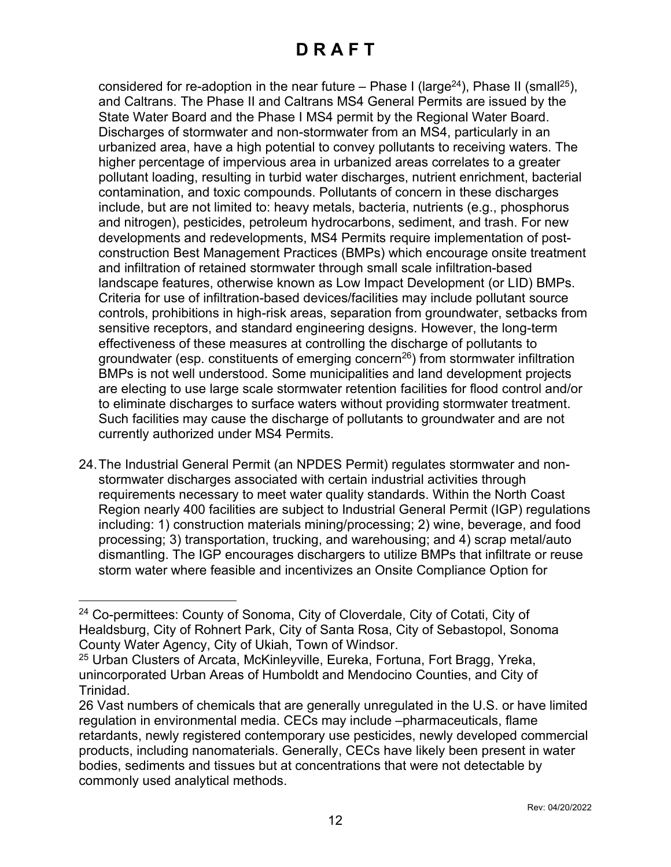considered for re-adoption in the near future – Phase I (large<sup>[24](#page-11-0)</sup>), Phase II (small<sup>[25](#page-11-1)</sup>), and Caltrans. The Phase II and Caltrans MS4 General Permits are issued by the State Water Board and the Phase I MS4 permit by the Regional Water Board. Discharges of stormwater and non-stormwater from an MS4, particularly in an urbanized area, have a high potential to convey pollutants to receiving waters. The higher percentage of impervious area in urbanized areas correlates to a greater pollutant loading, resulting in turbid water discharges, nutrient enrichment, bacterial contamination, and toxic compounds. Pollutants of concern in these discharges include, but are not limited to: heavy metals, bacteria, nutrients (e.g., phosphorus and nitrogen), pesticides, petroleum hydrocarbons, sediment, and trash. For new developments and redevelopments, MS4 Permits require implementation of postconstruction Best Management Practices (BMPs) which encourage onsite treatment and infiltration of retained stormwater through small scale infiltration-based landscape features, otherwise known as Low Impact Development (or LID) BMPs. Criteria for use of infiltration-based devices/facilities may include pollutant source controls, prohibitions in high-risk areas, separation from groundwater, setbacks from sensitive receptors, and standard engineering designs. However, the long-term effectiveness of these measures at controlling the discharge of pollutants to groundwater (esp. constituents of emerging concern<sup>[26](#page-11-2)</sup>) from stormwater infiltration BMPs is not well understood. Some municipalities and land development projects are electing to use large scale stormwater retention facilities for flood control and/or to eliminate discharges to surface waters without providing stormwater treatment. Such facilities may cause the discharge of pollutants to groundwater and are not currently authorized under MS4 Permits.

24.The Industrial General Permit (an NPDES Permit) regulates stormwater and nonstormwater discharges associated with certain industrial activities through requirements necessary to meet water quality standards. Within the North Coast Region nearly 400 facilities are subject to Industrial General Permit (IGP) regulations including: 1) construction materials mining/processing; 2) wine, beverage, and food processing; 3) transportation, trucking, and warehousing; and 4) scrap metal/auto dismantling. The IGP encourages dischargers to utilize BMPs that infiltrate or reuse storm water where feasible and incentivizes an Onsite Compliance Option for

<span id="page-11-0"></span><sup>24</sup> Co-permittees: County of Sonoma, City of Cloverdale, City of Cotati, City of Healdsburg, City of Rohnert Park, City of Santa Rosa, City of Sebastopol, Sonoma County Water Agency, City of Ukiah, Town of Windsor.

<span id="page-11-1"></span><sup>25</sup> Urban Clusters of Arcata, McKinleyville, Eureka, Fortuna, Fort Bragg, Yreka, unincorporated Urban Areas of Humboldt and Mendocino Counties, and City of Trinidad.

<span id="page-11-2"></span><sup>26</sup> Vast numbers of chemicals that are generally unregulated in the U.S. or have limited regulation in environmental media. CECs may include –pharmaceuticals, flame retardants, newly registered contemporary use pesticides, newly developed commercial products, including nanomaterials. Generally, CECs have likely been present in water bodies, sediments and tissues but at concentrations that were not detectable by commonly used analytical methods.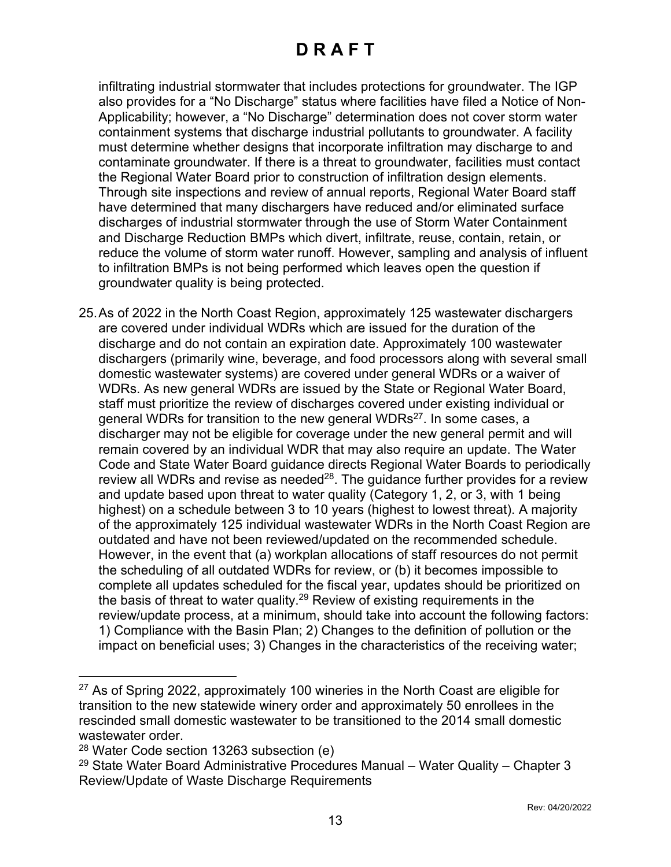infiltrating industrial stormwater that includes protections for groundwater. The IGP also provides for a "No Discharge" status where facilities have filed a Notice of Non-Applicability; however, a "No Discharge" determination does not cover storm water containment systems that discharge industrial pollutants to groundwater. A facility must determine whether designs that incorporate infiltration may discharge to and contaminate groundwater. If there is a threat to groundwater, facilities must contact the Regional Water Board prior to construction of infiltration design elements. Through site inspections and review of annual reports, Regional Water Board staff have determined that many dischargers have reduced and/or eliminated surface discharges of industrial stormwater through the use of Storm Water Containment and Discharge Reduction BMPs which divert, infiltrate, reuse, contain, retain, or reduce the volume of storm water runoff. However, sampling and analysis of influent to infiltration BMPs is not being performed which leaves open the question if groundwater quality is being protected.

25.As of 2022 in the North Coast Region, approximately 125 wastewater dischargers are covered under individual WDRs which are issued for the duration of the discharge and do not contain an expiration date. Approximately 100 wastewater dischargers (primarily wine, beverage, and food processors along with several small domestic wastewater systems) are covered under general WDRs or a waiver of WDRs. As new general WDRs are issued by the State or Regional Water Board, staff must prioritize the review of discharges covered under existing individual or general WDRs for transition to the new general WDRs<sup>[27](#page-12-0)</sup>. In some cases, a discharger may not be eligible for coverage under the new general permit and will remain covered by an individual WDR that may also require an update. The Water Code and State Water Board guidance directs Regional Water Boards to periodically review all WDRs and revise as needed $^{28}$  $^{28}$  $^{28}$ . The guidance further provides for a review and update based upon threat to water quality (Category 1, 2, or 3, with 1 being highest) on a schedule between 3 to 10 years (highest to lowest threat). A majority of the approximately 125 individual wastewater WDRs in the North Coast Region are outdated and have not been reviewed/updated on the recommended schedule. However, in the event that (a) workplan allocations of staff resources do not permit the scheduling of all outdated WDRs for review, or (b) it becomes impossible to complete all updates scheduled for the fiscal year, updates should be prioritized on the basis of threat to water quality.[29](#page-12-2) Review of existing requirements in the review/update process, at a minimum, should take into account the following factors: 1) Compliance with the Basin Plan; 2) Changes to the definition of pollution or the impact on beneficial uses; 3) Changes in the characteristics of the receiving water;

<span id="page-12-0"></span><sup>&</sup>lt;sup>27</sup> As of Spring 2022, approximately 100 wineries in the North Coast are eligible for transition to the new statewide winery order and approximately 50 enrollees in the rescinded small domestic wastewater to be transitioned to the 2014 small domestic wastewater order.

<span id="page-12-1"></span><sup>28</sup> Water Code section 13263 subsection (e)

<span id="page-12-2"></span> $29$  State Water Board Administrative Procedures Manual – Water Quality – Chapter 3 Review/Update of Waste Discharge Requirements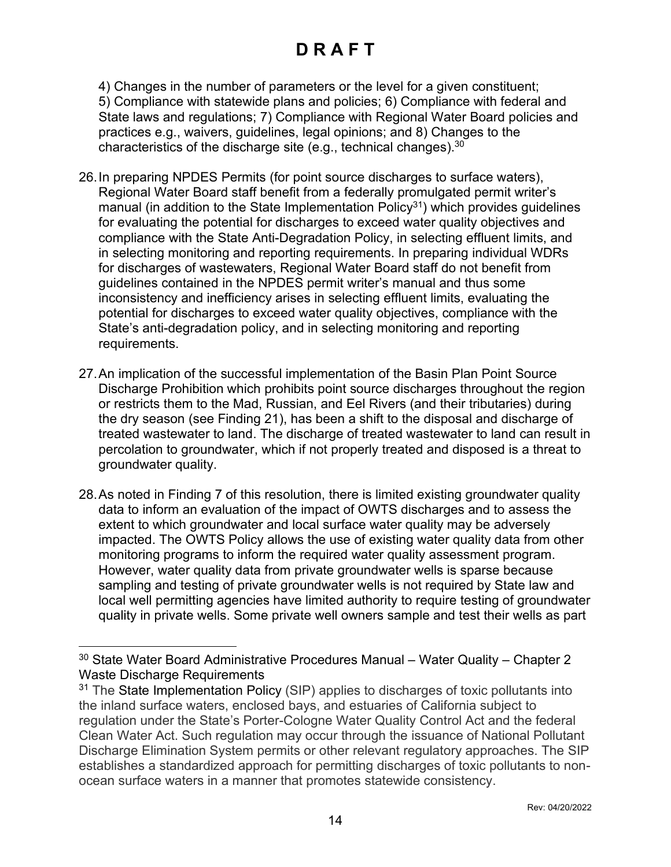4) Changes in the number of parameters or the level for a given constituent; 5) Compliance with statewide plans and policies; 6) Compliance with federal and State laws and regulations; 7) Compliance with Regional Water Board policies and practices e.g., waivers, guidelines, legal opinions; and 8) Changes to the characteristics of the discharge site (e.g., technical changes). $^{\rm 30}$  $^{\rm 30}$  $^{\rm 30}$ 

- 26.In preparing NPDES Permits (for point source discharges to surface waters), Regional Water Board staff benefit from a federally promulgated permit writer's manual (in addition to the State Implementation Policy<sup>[31](#page-13-1)</sup>) which provides guidelines for evaluating the potential for discharges to exceed water quality objectives and compliance with the State Anti-Degradation Policy, in selecting effluent limits, and in selecting monitoring and reporting requirements. In preparing individual WDRs for discharges of wastewaters, Regional Water Board staff do not benefit from guidelines contained in the NPDES permit writer's manual and thus some inconsistency and inefficiency arises in selecting effluent limits, evaluating the potential for discharges to exceed water quality objectives, compliance with the State's anti-degradation policy, and in selecting monitoring and reporting requirements.
- 27.An implication of the successful implementation of the Basin Plan Point Source Discharge Prohibition which prohibits point source discharges throughout the region or restricts them to the Mad, Russian, and Eel Rivers (and their tributaries) during the dry season (see Finding 21), has been a shift to the disposal and discharge of treated wastewater to land. The discharge of treated wastewater to land can result in percolation to groundwater, which if not properly treated and disposed is a threat to groundwater quality.
- 28.As noted in Finding 7 of this resolution, there is limited existing groundwater quality data to inform an evaluation of the impact of OWTS discharges and to assess the extent to which groundwater and local surface water quality may be adversely impacted. The OWTS Policy allows the use of existing water quality data from other monitoring programs to inform the required water quality assessment program. However, water quality data from private groundwater wells is sparse because sampling and testing of private groundwater wells is not required by State law and local well permitting agencies have limited authority to require testing of groundwater quality in private wells. Some private well owners sample and test their wells as part

<span id="page-13-0"></span> $30$  State Water Board Administrative Procedures Manual – Water Quality – Chapter 2 Waste Discharge Requirements

<span id="page-13-1"></span><sup>&</sup>lt;sup>31</sup> The State Implementation Policy (SIP) applies to discharges of toxic pollutants into the inland surface waters, enclosed bays, and estuaries of California subject to regulation under the State's Porter-Cologne Water Quality Control Act and the federal Clean Water Act. Such regulation may occur through the issuance of National Pollutant Discharge Elimination System permits or other relevant regulatory approaches. The SIP establishes a standardized approach for permitting discharges of toxic pollutants to nonocean surface waters in a manner that promotes statewide consistency.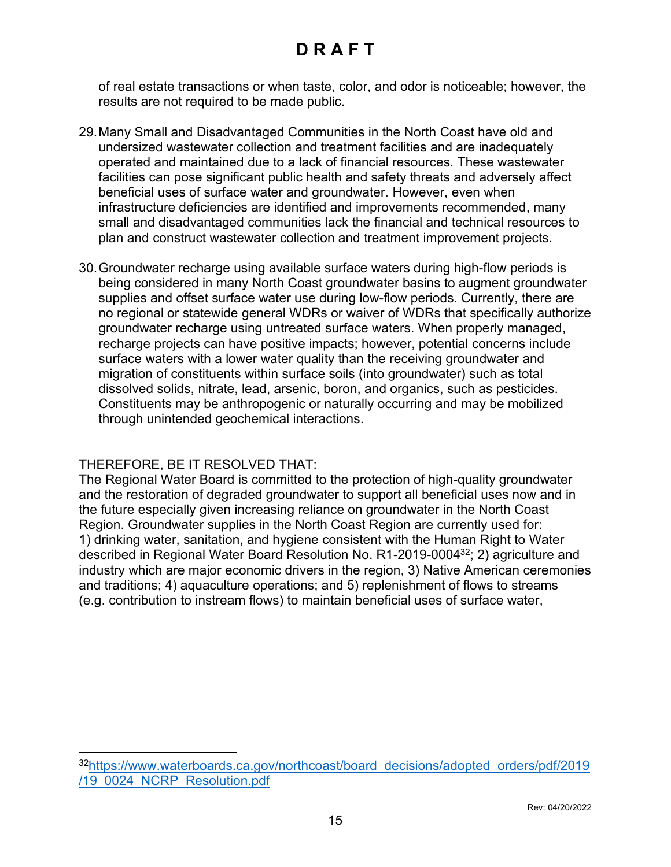of real estate transactions or when taste, color, and odor is noticeable; however, the results are not required to be made public.

- 29.Many Small and Disadvantaged Communities in the North Coast have old and undersized wastewater collection and treatment facilities and are inadequately operated and maintained due to a lack of financial resources. These wastewater facilities can pose significant public health and safety threats and adversely affect beneficial uses of surface water and groundwater. However, even when infrastructure deficiencies are identified and improvements recommended, many small and disadvantaged communities lack the financial and technical resources to plan and construct wastewater collection and treatment improvement projects.
- 30.Groundwater recharge using available surface waters during high-flow periods is being considered in many North Coast groundwater basins to augment groundwater supplies and offset surface water use during low-flow periods. Currently, there are no regional or statewide general WDRs or waiver of WDRs that specifically authorize groundwater recharge using untreated surface waters. When properly managed, recharge projects can have positive impacts; however, potential concerns include surface waters with a lower water quality than the receiving groundwater and migration of constituents within surface soils (into groundwater) such as total dissolved solids, nitrate, lead, arsenic, boron, and organics, such as pesticides. Constituents may be anthropogenic or naturally occurring and may be mobilized through unintended geochemical interactions.

#### THEREFORE, BE IT RESOLVED THAT:

The Regional Water Board is committed to the protection of high-quality groundwater and the restoration of degraded groundwater to support all beneficial uses now and in the future especially given increasing reliance on groundwater in the North Coast Region. Groundwater supplies in the North Coast Region are currently used for: 1) drinking water, sanitation, and hygiene consistent with the Human Right to Water described in Regional Water Board Resolution No. R1-2019-0004 [32](#page-14-0); 2) agriculture and industry which are major economic drivers in the region, 3) Native American ceremonies and traditions; 4) aquaculture operations; and 5) replenishment of flows to streams (e.g. contribution to instream flows) to maintain beneficial uses of surface water,

<span id="page-14-0"></span><sup>32</sup>[https://www.waterboards.ca.gov/northcoast/board\\_decisions/adopted\\_orders/pdf/2019](https://www.waterboards.ca.gov/northcoast/board_decisions/adopted_orders/pdf/2019/19_0024_NCRP_Resolution.pdf) [/19\\_0024\\_NCRP\\_Resolution.pdf](https://www.waterboards.ca.gov/northcoast/board_decisions/adopted_orders/pdf/2019/19_0024_NCRP_Resolution.pdf)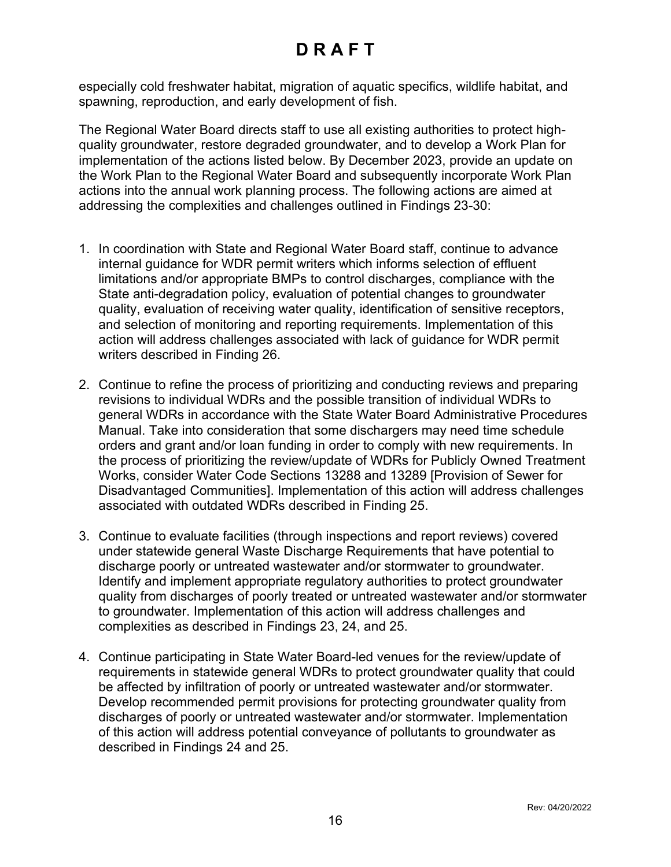especially cold freshwater habitat, migration of aquatic specifics, wildlife habitat, and spawning, reproduction, and early development of fish.

The Regional Water Board directs staff to use all existing authorities to protect highquality groundwater, restore degraded groundwater, and to develop a Work Plan for implementation of the actions listed below. By December 2023, provide an update on the Work Plan to the Regional Water Board and subsequently incorporate Work Plan actions into the annual work planning process. The following actions are aimed at addressing the complexities and challenges outlined in Findings 23-30:

- 1. In coordination with State and Regional Water Board staff, continue to advance internal guidance for WDR permit writers which informs selection of effluent limitations and/or appropriate BMPs to control discharges, compliance with the State anti-degradation policy, evaluation of potential changes to groundwater quality, evaluation of receiving water quality, identification of sensitive receptors, and selection of monitoring and reporting requirements. Implementation of this action will address challenges associated with lack of guidance for WDR permit writers described in Finding 26.
- 2. Continue to refine the process of prioritizing and conducting reviews and preparing revisions to individual WDRs and the possible transition of individual WDRs to general WDRs in accordance with the State Water Board Administrative Procedures Manual. Take into consideration that some dischargers may need time schedule orders and grant and/or loan funding in order to comply with new requirements. In the process of prioritizing the review/update of WDRs for Publicly Owned Treatment Works, consider Water Code Sections 13288 and 13289 [Provision of Sewer for Disadvantaged Communities]. Implementation of this action will address challenges associated with outdated WDRs described in Finding 25.
- 3. Continue to evaluate facilities (through inspections and report reviews) covered under statewide general Waste Discharge Requirements that have potential to discharge poorly or untreated wastewater and/or stormwater to groundwater. Identify and implement appropriate regulatory authorities to protect groundwater quality from discharges of poorly treated or untreated wastewater and/or stormwater to groundwater. Implementation of this action will address challenges and complexities as described in Findings 23, 24, and 25.
- 4. Continue participating in State Water Board-led venues for the review/update of requirements in statewide general WDRs to protect groundwater quality that could be affected by infiltration of poorly or untreated wastewater and/or stormwater. Develop recommended permit provisions for protecting groundwater quality from discharges of poorly or untreated wastewater and/or stormwater. Implementation of this action will address potential conveyance of pollutants to groundwater as described in Findings 24 and 25.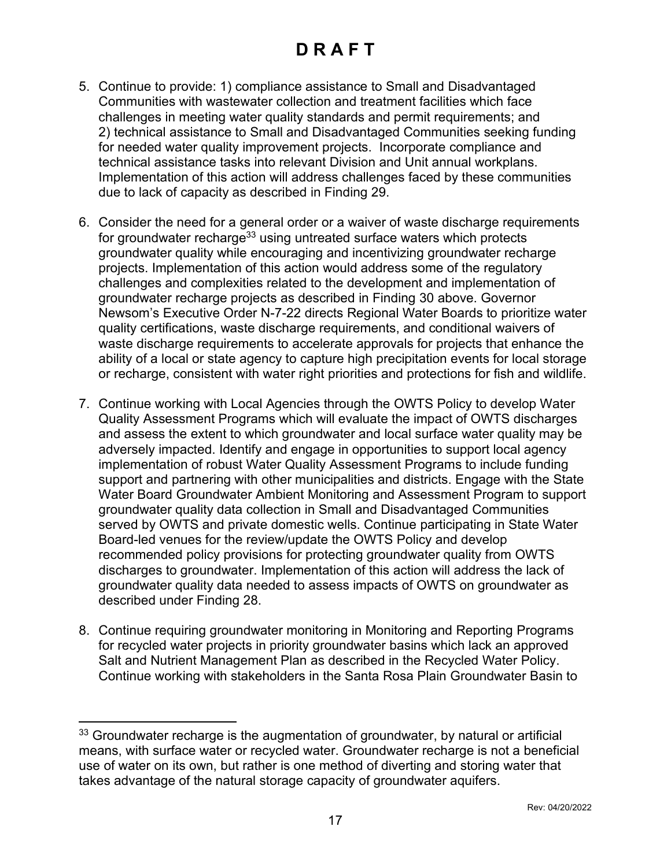- 5. Continue to provide: 1) compliance assistance to Small and Disadvantaged Communities with wastewater collection and treatment facilities which face challenges in meeting water quality standards and permit requirements; and 2) technical assistance to Small and Disadvantaged Communities seeking funding for needed water quality improvement projects. Incorporate compliance and technical assistance tasks into relevant Division and Unit annual workplans. Implementation of this action will address challenges faced by these communities due to lack of capacity as described in Finding 29.
- 6. Consider the need for a general order or a waiver of waste discharge requirements for groundwater recharge<sup>[33](#page-16-0)</sup> using untreated surface waters which protects groundwater quality while encouraging and incentivizing groundwater recharge projects. Implementation of this action would address some of the regulatory challenges and complexities related to the development and implementation of groundwater recharge projects as described in Finding 30 above. Governor Newsom's Executive Order N-7-22 directs Regional Water Boards to prioritize water quality certifications, waste discharge requirements, and conditional waivers of waste discharge requirements to accelerate approvals for projects that enhance the ability of a local or state agency to capture high precipitation events for local storage or recharge, consistent with water right priorities and protections for fish and wildlife.
- 7. Continue working with Local Agencies through the OWTS Policy to develop Water Quality Assessment Programs which will evaluate the impact of OWTS discharges and assess the extent to which groundwater and local surface water quality may be adversely impacted. Identify and engage in opportunities to support local agency implementation of robust Water Quality Assessment Programs to include funding support and partnering with other municipalities and districts. Engage with the State Water Board Groundwater Ambient Monitoring and Assessment Program to support groundwater quality data collection in Small and Disadvantaged Communities served by OWTS and private domestic wells. Continue participating in State Water Board-led venues for the review/update the OWTS Policy and develop recommended policy provisions for protecting groundwater quality from OWTS discharges to groundwater. Implementation of this action will address the lack of groundwater quality data needed to assess impacts of OWTS on groundwater as described under Finding 28.
- 8. Continue requiring groundwater monitoring in Monitoring and Reporting Programs for recycled water projects in priority groundwater basins which lack an approved Salt and Nutrient Management Plan as described in the Recycled Water Policy. Continue working with stakeholders in the Santa Rosa Plain Groundwater Basin to

<span id="page-16-0"></span> $33$  Groundwater recharge is the augmentation of groundwater, by natural or artificial means, with surface water or recycled water. Groundwater recharge is not a beneficial use of water on its own, but rather is one method of diverting and storing water that takes advantage of the natural storage capacity of groundwater aquifers.